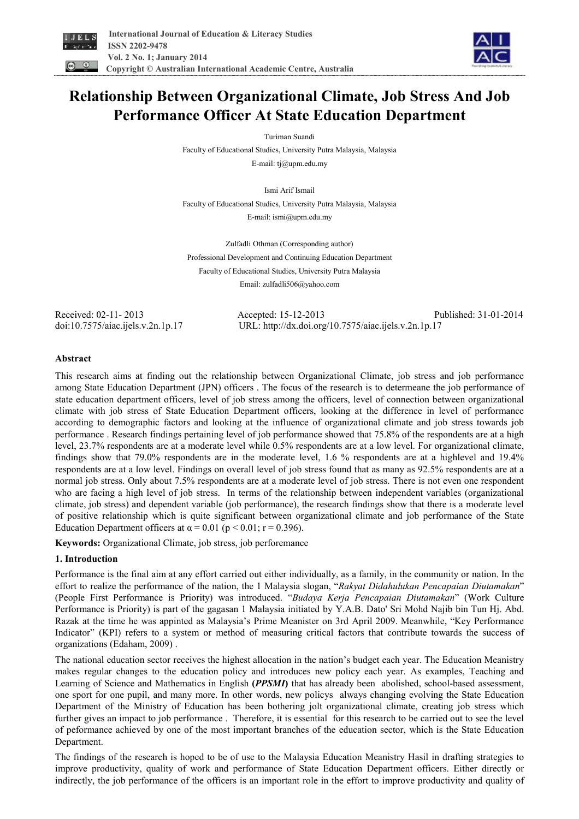



# **Relationship Between Organizational Climate, Job Stress And Job Performance Officer At State Education Department**

Turiman Suandi

Faculty of Educational Studies, University Putra Malaysia, Malaysia

E-mail: tj@upm.edu.my

Ismi Arif Ismail Faculty of Educational Studies, University Putra Malaysia, Malaysia E-mail: ismi@upm.edu.my

Zulfadli Othman (Corresponding author) Professional Development and Continuing Education Department Faculty of Educational Studies, University Putra Malaysia Email: zulfadli506@yahoo.com

Received: 02-11- 2013 Accepted: 15-12-2013 Published: 31-01-2014 doi:10.7575/aiac.ijels.v.2n.1p.17 URL: http://dx.doi.org/10.7575/aiac.ijels.v.2n.1p.17

## **Abstract**

This research aims at finding out the relationship between Organizational Climate, job stress and job performance among State Education Department (JPN) officers . The focus of the research is to determeane the job performance of state education department officers, level of job stress among the officers, level of connection between organizational climate with job stress of State Education Department officers, looking at the difference in level of performance according to demographic factors and looking at the influence of organizational climate and job stress towards job performance . Research findings pertaining level of job performance showed that 75.8% of the respondents are at a high level, 23.7% respondents are at a moderate level while 0.5% respondents are at a low level. For organizational climate, findings show that 79.0% respondents are in the moderate level, 1.6 % respondents are at a highlevel and 19.4% respondents are at a low level. Findings on overall level of job stress found that as many as 92.5% respondents are at a normal job stress. Only about 7.5% respondents are at a moderate level of job stress. There is not even one respondent who are facing a high level of job stress. In terms of the relationship between independent variables (organizational climate, job stress) and dependent variable (job performance), the research findings show that there is a moderate level of positive relationship which is quite significant between organizational climate and job performance of the State Education Department officers at  $\alpha = 0.01$  (p < 0.01; r = 0.396).

**Keywords:** Organizational Climate, job stress, job perforemance

# **1. Introduction**

Performance is the final aim at any effort carried out either individually, as a family, in the community or nation. In the effort to realize the performance of the nation, the 1 Malaysia slogan, "*Rakyat Didahulukan Pencapaian Diutamakan*" (People First Performance is Priority) was introduced. "*Budaya Kerja Pencapaian Diutamakan*" (Work Culture Performance is Priority) is part of the gagasan 1 Malaysia initiated by Y.A.B. Dato' Sri Mohd Najib bin Tun Hj. Abd. Razak at the time he was appinted as Malaysia's Prime Meanister on 3rd April 2009. Meanwhile, "Key Performance Indicator" (KPI) refers to a system or method of measuring critical factors that contribute towards the success of organizations (Edaham, 2009) .

The national education sector receives the highest allocation in the nation's budget each year. The Education Meanistry makes regular changes to the education policy and introduces new policy each year. As examples, Teaching and Learning of Science and Mathematics in English **(***PPSMI***)** that has already been abolished, school-based assessment, one sport for one pupil, and many more. In other words, new policys always changing evolving the State Education Department of the Ministry of Education has been bothering jolt organizational climate, creating job stress which further gives an impact to job performance . Therefore, it is essential for this research to be carried out to see the level of peformance achieved by one of the most important branches of the education sector, which is the State Education Department.

The findings of the research is hoped to be of use to the Malaysia Education Meanistry Hasil in drafting strategies to improve productivity, quality of work and performance of State Education Department officers. Either directly or indirectly, the job performance of the officers is an important role in the effort to improve productivity and quality of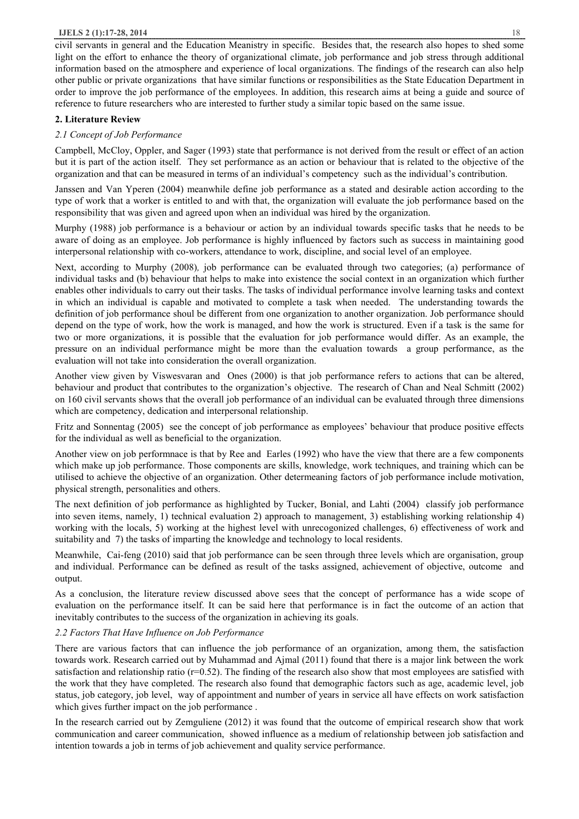civil servants in general and the Education Meanistry in specific. Besides that, the research also hopes to shed some light on the effort to enhance the theory of organizational climate, job performance and job stress through additional information based on the atmosphere and experience of local organizations. The findings of the research can also help other public or private organizations that have similar functions or responsibilities as the State Education Department in order to improve the job performance of the employees. In addition, this research aims at being a guide and source of reference to future researchers who are interested to further study a similar topic based on the same issue.

## **2. Literature Review**

## *2.1 Concept of Job Performance*

Campbell, McCloy, Oppler, and Sager (1993) state that performance is not derived from the result or effect of an action but it is part of the action itself. They set performance as an action or behaviour that is related to the objective of the organization and that can be measured in terms of an individual's competency such as the individual's contribution.

Janssen and Van Yperen (2004) meanwhile define job performance as a stated and desirable action according to the type of work that a worker is entitled to and with that, the organization will evaluate the job performance based on the responsibility that was given and agreed upon when an individual was hired by the organization.

Murphy (1988) job performance is a behaviour or action by an individual towards specific tasks that he needs to be aware of doing as an employee. Job performance is highly influenced by factors such as success in maintaining good interpersonal relationship with co-workers, attendance to work, discipline, and social level of an employee.

Next, according to Murphy (2008)*,* job performance can be evaluated through two categories; (a) performance of individual tasks and (b) behaviour that helps to make into existence the social context in an organization which further enables other individuals to carry out their tasks. The tasks of individual performance involve learning tasks and context in which an individual is capable and motivated to complete a task when needed. The understanding towards the definition of job performance shoul be different from one organization to another organization. Job performance should depend on the type of work, how the work is managed, and how the work is structured. Even if a task is the same for two or more organizations, it is possible that the evaluation for job performance would differ. As an example, the pressure on an individual performance might be more than the evaluation towards a group performance, as the evaluation will not take into consideration the overall organization.

Another view given by Viswesvaran and Ones (2000) is that job performance refers to actions that can be altered, behaviour and product that contributes to the organization's objective. The research of Chan and Neal Schmitt (2002) on 160 civil servants shows that the overall job performance of an individual can be evaluated through three dimensions which are competency, dedication and interpersonal relationship.

Fritz and Sonnentag (2005) see the concept of job performance as employees' behaviour that produce positive effects for the individual as well as beneficial to the organization.

Another view on job performnace is that by Ree and Earles (1992) who have the view that there are a few components which make up job performance. Those components are skills, knowledge, work techniques, and training which can be utilised to achieve the objective of an organization. Other determeaning factors of job performance include motivation, physical strength, personalities and others.

The next definition of job performance as highlighted by Tucker, Bonial, and Lahti (2004) classify job performance into seven items, namely, 1) technical evaluation 2) approach to management, 3) establishing working relationship 4) working with the locals, 5) working at the highest level with unrecogonized challenges, 6) effectiveness of work and suitability and 7) the tasks of imparting the knowledge and technology to local residents.

Meanwhile, Cai-feng (2010) said that job performance can be seen through three levels which are organisation, group and individual. Performance can be defined as result of the tasks assigned, achievement of objective, outcome and output.

As a conclusion, the literature review discussed above sees that the concept of performance has a wide scope of evaluation on the performance itself. It can be said here that performance is in fact the outcome of an action that inevitably contributes to the success of the organization in achieving its goals.

## *2.2 Factors That Have Influence on Job Performance*

There are various factors that can influence the job performance of an organization, among them, the satisfaction towards work. Research carried out by Muhammad and Ajmal (2011) found that there is a major link between the work satisfaction and relationship ratio ( $r=0.52$ ). The finding of the research also show that most employees are satisfied with the work that they have completed. The research also found that demographic factors such as age, academic level, job status, job category, job level, way of appointment and number of years in service all have effects on work satisfaction which gives further impact on the job performance .

In the research carried out by Zemguliene (2012) it was found that the outcome of empirical research show that work communication and career communication, showed influence as a medium of relationship between job satisfaction and intention towards a job in terms of job achievement and quality service performance.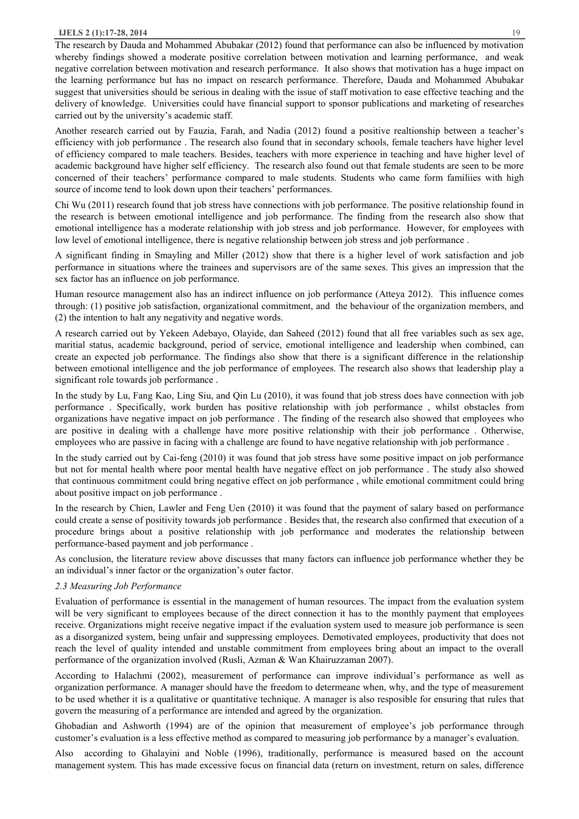The research by Dauda and Mohammed Abubakar (2012) found that performance can also be influenced by motivation whereby findings showed a moderate positive correlation between motivation and learning performance, and weak negative correlation between motivation and research performance. It also shows that motivation has a huge impact on the learning performance but has no impact on research performance. Therefore, Dauda and Mohammed Abubakar suggest that universities should be serious in dealing with the issue of staff motivation to ease effective teaching and the delivery of knowledge. Universities could have financial support to sponsor publications and marketing of researches carried out by the university's academic staff.

Another research carried out by Fauzia, Farah, and Nadia (2012) found a positive realtionship between a teacher's efficiency with job performance . The research also found that in secondary schools, female teachers have higher level of efficiency compared to male teachers. Besides, teachers with more experience in teaching and have higher level of academic background have higher self efficiency. The research also found out that female students are seen to be more concerned of their teachers' performance compared to male students. Students who came form familiies with high source of income tend to look down upon their teachers' performances.

Chi Wu (2011) research found that job stress have connections with job performance. The positive relationship found in the research is between emotional intelligence and job performance. The finding from the research also show that emotional intelligence has a moderate relationship with job stress and job performance. However, for employees with low level of emotional intelligence, there is negative relationship between job stress and job performance .

A significant finding in Smayling and Miller (2012) show that there is a higher level of work satisfaction and job performance in situations where the trainees and supervisors are of the same sexes. This gives an impression that the sex factor has an influence on job performance.

Human resource management also has an indirect influence on job performance (Atteya 2012). This influence comes through: (1) positive job satisfaction, organizational commitment, and the behaviour of the organization members, and (2) the intention to halt any negativity and negative words.

A research carried out by Yekeen Adebayo, Olayide, dan Saheed (2012) found that all free variables such as sex age, maritial status, academic background, period of service, emotional intelligence and leadership when combined, can create an expected job performance. The findings also show that there is a significant difference in the relationship between emotional intelligence and the job performance of employees. The research also shows that leadership play a significant role towards job performance .

In the study by Lu, Fang Kao, Ling Siu, and Qin Lu (2010), it was found that job stress does have connection with job performance . Specifically, work burden has positive relationship with job performance , whilst obstacles from organizations have negative impact on job performance . The finding of the research also showed that employees who are positive in dealing with a challenge have more positive relationship with their job performance . Otherwise, employees who are passive in facing with a challenge are found to have negative relationship with job performance .

In the study carried out by Cai-feng (2010) it was found that job stress have some positive impact on job performance but not for mental health where poor mental health have negative effect on job performance . The study also showed that continuous commitment could bring negative effect on job performance , while emotional commitment could bring about positive impact on job performance .

In the research by Chien, Lawler and Feng Uen (2010) it was found that the payment of salary based on performance could create a sense of positivity towards job performance . Besides that, the research also confirmed that execution of a procedure brings about a positive relationship with job performance and moderates the relationship between performance-based payment and job performance .

As conclusion, the literature review above discusses that many factors can influence job performance whether they be an individual's inner factor or the organization's outer factor.

## *2.3 Measuring Job Performance*

Evaluation of performance is essential in the management of human resources. The impact from the evaluation system will be very significant to employees because of the direct connection it has to the monthly payment that employees receive. Organizations might receive negative impact if the evaluation system used to measure job performance is seen as a disorganized system, being unfair and suppressing employees. Demotivated employees, productivity that does not reach the level of quality intended and unstable commitment from employees bring about an impact to the overall performance of the organization involved (Rusli, Azman & Wan Khairuzzaman 2007).

According to Halachmi (2002), measurement of performance can improve individual's performance as well as organization performance. A manager should have the freedom to determeane when, why, and the type of measurement to be used whether it is a qualitative or quantitative technique. A manager is also resposible for ensuring that rules that govern the measuring of a performance are intended and agreed by the organization.

Ghobadian and Ashworth (1994) are of the opinion that measurement of employee's job performance through customer's evaluation is a less effective method as compared to measuring job performance by a manager's evaluation.

Also according to Ghalayini and Noble (1996), traditionally, performance is measured based on the account management system. This has made excessive focus on financial data (return on investment, return on sales, difference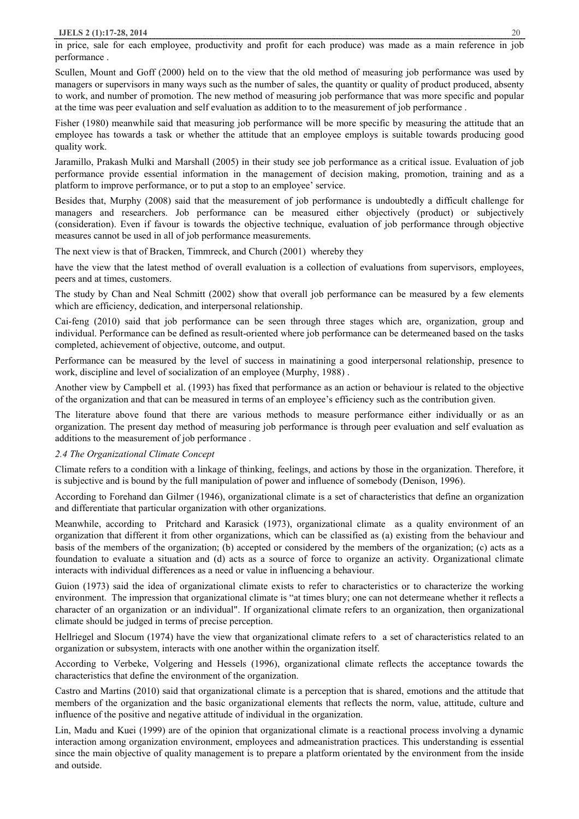in price, sale for each employee, productivity and profit for each produce) was made as a main reference in job performance .

Scullen, Mount and Goff (2000) held on to the view that the old method of measuring job performance was used by managers or supervisors in many ways such as the number of sales, the quantity or quality of product produced, absenty to work, and number of promotion. The new method of measuring job performance that was more specific and popular at the time was peer evaluation and self evaluation as addition to to the measurement of job performance .

Fisher (1980) meanwhile said that measuring job performance will be more specific by measuring the attitude that an employee has towards a task or whether the attitude that an employee employs is suitable towards producing good quality work.

Jaramillo, Prakash Mulki and Marshall (2005) in their study see job performance as a critical issue. Evaluation of job performance provide essential information in the management of decision making, promotion, training and as a platform to improve performance, or to put a stop to an employee' service.

Besides that, Murphy (2008) said that the measurement of job performance is undoubtedly a difficult challenge for managers and researchers. Job performance can be measured either objectively (product) or subjectively (consideration). Even if favour is towards the objective technique, evaluation of job performance through objective measures cannot be used in all of job performance measurements.

The next view is that of Bracken, Timmreck, and Church (2001) whereby they

have the view that the latest method of overall evaluation is a collection of evaluations from supervisors, employees, peers and at times, customers.

The study by Chan and Neal Schmitt (2002) show that overall job performance can be measured by a few elements which are efficiency, dedication, and interpersonal relationship.

Cai-feng (2010) said that job performance can be seen through three stages which are, organization, group and individual. Performance can be defined as result-oriented where job performance can be determeaned based on the tasks completed, achievement of objective, outcome, and output.

Performance can be measured by the level of success in mainatining a good interpersonal relationship, presence to work, discipline and level of socialization of an employee (Murphy, 1988) .

Another view by Campbell et al. (1993) has fixed that performance as an action or behaviour is related to the objective of the organization and that can be measured in terms of an employee's efficiency such as the contribution given.

The literature above found that there are various methods to measure performance either individually or as an organization. The present day method of measuring job performance is through peer evaluation and self evaluation as additions to the measurement of job performance .

## *2.4 The Organizational Climate Concept*

Climate refers to a condition with a linkage of thinking, feelings, and actions by those in the organization. Therefore, it is subjective and is bound by the full manipulation of power and influence of somebody (Denison, 1996).

According to Forehand dan Gilmer (1946), organizational climate is a set of characteristics that define an organization and differentiate that particular organization with other organizations.

Meanwhile, according to Pritchard and Karasick (1973), organizational climate as a quality environment of an organization that different it from other organizations, which can be classified as (a) existing from the behaviour and basis of the members of the organization; (b) accepted or considered by the members of the organization; (c) acts as a foundation to evaluate a situation and (d) acts as a source of force to organize an activity. Organizational climate interacts with individual differences as a need or value in influencing a behaviour.

Guion (1973) said the idea of organizational climate exists to refer to characteristics or to characterize the working environment. The impression that organizational climate is "at times blury; one can not determeane whether it reflects a character of an organization or an individual". If organizational climate refers to an organization, then organizational climate should be judged in terms of precise perception.

Hellriegel and Slocum (1974) have the view that organizational climate refers to a set of characteristics related to an organization or subsystem, interacts with one another within the organization itself.

According to Verbeke, Volgering and Hessels (1996), organizational climate reflects the acceptance towards the characteristics that define the environment of the organization.

Castro and Martins (2010) said that organizational climate is a perception that is shared, emotions and the attitude that members of the organization and the basic organizational elements that reflects the norm, value, attitude, culture and influence of the positive and negative attitude of individual in the organization.

Lin, Madu and Kuei (1999) are of the opinion that organizational climate is a reactional process involving a dynamic interaction among organization environment, employees and admeanistration practices. This understanding is essential since the main objective of quality management is to prepare a platform orientated by the environment from the inside and outside.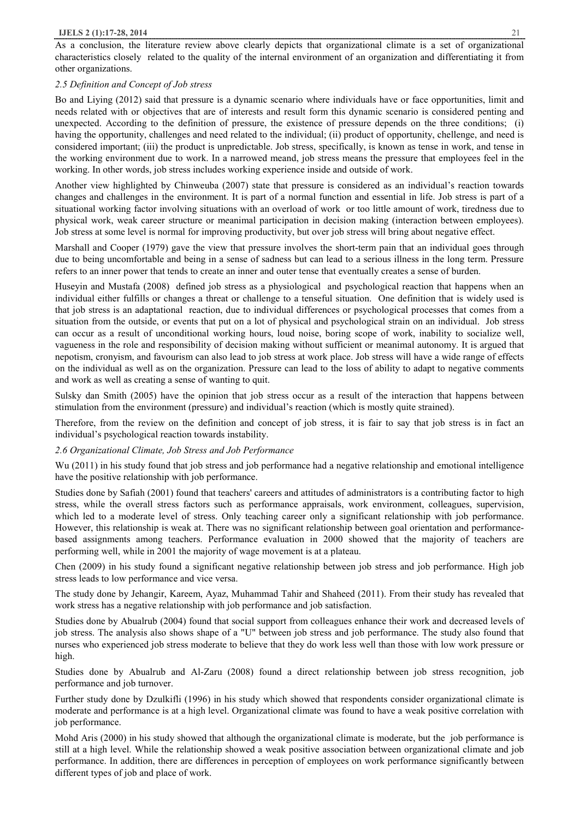As a conclusion, the literature review above clearly depicts that organizational climate is a set of organizational characteristics closely related to the quality of the internal environment of an organization and differentiating it from other organizations.

## *2.5 Definition and Concept of Job stress*

Bo and Liying (2012) said that pressure is a dynamic scenario where individuals have or face opportunities, limit and needs related with or objectives that are of interests and result form this dynamic scenario is considered penting and unexpected. According to the definition of pressure, the existence of pressure depends on the three conditions; (i) having the opportunity, challenges and need related to the individual; (ii) product of opportunity, chellenge, and need is considered important; (iii) the product is unpredictable. Job stress, specifically, is known as tense in work, and tense in the working environment due to work. In a narrowed meand, job stress means the pressure that employees feel in the working. In other words, job stress includes working experience inside and outside of work.

Another view highlighted by Chinweuba (2007) state that pressure is considered as an individual's reaction towards changes and challenges in the environment. It is part of a normal function and essential in life. Job stress is part of a situational working factor involving situations with an overload of work or too little amount of work, tiredness due to physical work, weak career structure or meanimal participation in decision making (interaction between employees). Job stress at some level is normal for improving productivity, but over job stress will bring about negative effect.

Marshall and Cooper (1979) gave the view that pressure involves the short-term pain that an individual goes through due to being uncomfortable and being in a sense of sadness but can lead to a serious illness in the long term. Pressure refers to an inner power that tends to create an inner and outer tense that eventually creates a sense of burden.

Huseyin and Mustafa (2008) defined job stress as a physiological and psychological reaction that happens when an individual either fulfills or changes a threat or challenge to a tenseful situation. One definition that is widely used is that job stress is an adaptational reaction, due to individual differences or psychological processes that comes from a situation from the outside, or events that put on a lot of physical and psychological strain on an individual. Job stress can occur as a result of unconditional working hours, loud noise, boring scope of work, inability to socialize well, vagueness in the role and responsibility of decision making without sufficient or meanimal autonomy. It is argued that nepotism, cronyism, and favourism can also lead to job stress at work place. Job stress will have a wide range of effects on the individual as well as on the organization. Pressure can lead to the loss of ability to adapt to negative comments and work as well as creating a sense of wanting to quit.

Sulsky dan Smith (2005) have the opinion that job stress occur as a result of the interaction that happens between stimulation from the environment (pressure) and individual's reaction (which is mostly quite strained).

Therefore, from the review on the definition and concept of job stress, it is fair to say that job stress is in fact an individual's psychological reaction towards instability.

## *2.6 Organizational Climate, Job Stress and Job Performance*

Wu (2011) in his study found that job stress and job performance had a negative relationship and emotional intelligence have the positive relationship with job performance.

Studies done by Safiah (2001) found that teachers' careers and attitudes of administrators is a contributing factor to high stress, while the overall stress factors such as performance appraisals, work environment, colleagues, supervision, which led to a moderate level of stress. Only teaching career only a significant relationship with job performance. However, this relationship is weak at. There was no significant relationship between goal orientation and performancebased assignments among teachers. Performance evaluation in 2000 showed that the majority of teachers are performing well, while in 2001 the majority of wage movement is at a plateau.

Chen (2009) in his study found a significant negative relationship between job stress and job performance. High job stress leads to low performance and vice versa.

The study done by Jehangir, Kareem, Ayaz, Muhammad Tahir and Shaheed (2011). From their study has revealed that work stress has a negative relationship with job performance and job satisfaction.

Studies done by Abualrub (2004) found that social support from colleagues enhance their work and decreased levels of job stress. The analysis also shows shape of a "U" between job stress and job performance. The study also found that nurses who experienced job stress moderate to believe that they do work less well than those with low work pressure or high.

Studies done by Abualrub and Al-Zaru (2008) found a direct relationship between job stress recognition, job performance and job turnover.

Further study done by Dzulkifli (1996) in his study which showed that respondents consider organizational climate is moderate and performance is at a high level. Organizational climate was found to have a weak positive correlation with job performance.

Mohd Aris (2000) in his study showed that although the organizational climate is moderate, but the job performance is still at a high level. While the relationship showed a weak positive association between organizational climate and job performance. In addition, there are differences in perception of employees on work performance significantly between different types of job and place of work.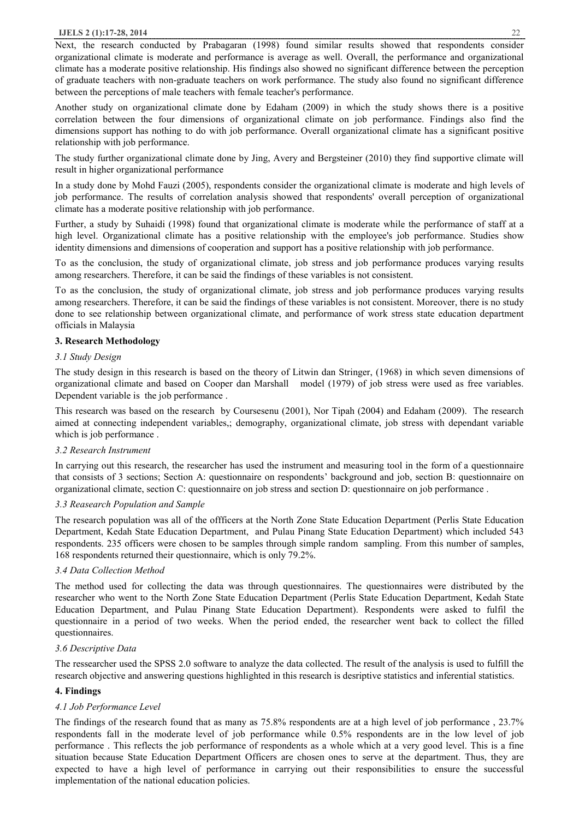Next, the research conducted by Prabagaran (1998) found similar results showed that respondents consider organizational climate is moderate and performance is average as well. Overall, the performance and organizational climate has a moderate positive relationship. His findings also showed no significant difference between the perception of graduate teachers with non-graduate teachers on work performance. The study also found no significant difference between the perceptions of male teachers with female teacher's performance.

Another study on organizational climate done by Edaham (2009) in which the study shows there is a positive correlation between the four dimensions of organizational climate on job performance. Findings also find the dimensions support has nothing to do with job performance. Overall organizational climate has a significant positive relationship with job performance.

The study further organizational climate done by Jing, Avery and Bergsteiner (2010) they find supportive climate will result in higher organizational performance

In a study done by Mohd Fauzi (2005), respondents consider the organizational climate is moderate and high levels of job performance. The results of correlation analysis showed that respondents' overall perception of organizational climate has a moderate positive relationship with job performance.

Further, a study by Suhaidi (1998) found that organizational climate is moderate while the performance of staff at a high level. Organizational climate has a positive relationship with the employee's job performance. Studies show identity dimensions and dimensions of cooperation and support has a positive relationship with job performance.

To as the conclusion, the study of organizational climate, job stress and job performance produces varying results among researchers. Therefore, it can be said the findings of these variables is not consistent.

To as the conclusion, the study of organizational climate, job stress and job performance produces varying results among researchers. Therefore, it can be said the findings of these variables is not consistent. Moreover, there is no study done to see relationship between organizational climate, and performance of work stress state education department officials in Malaysia

## **3. Research Methodology**

## *3.1 Study Design*

The study design in this research is based on the theory of Litwin dan Stringer, (1968) in which seven dimensions of organizational climate and based on Cooper dan Marshall model (1979) of job stress were used as free variables. Dependent variable is the job performance .

This research was based on the research by Coursesenu (2001), Nor Tipah (2004) and Edaham (2009). The research aimed at connecting independent variables,; demography, organizational climate, job stress with dependant variable which is job performance .

## *3.2 Research Instrument*

In carrying out this research, the researcher has used the instrument and measuring tool in the form of a questionnaire that consists of 3 sections; Section A: questionnaire on respondents' background and job, section B: questionnaire on organizational climate, section C: questionnaire on job stress and section D: questionnaire on job performance .

## *3.3 Reasearch Population and Sample*

The research population was all of the offficers at the North Zone State Education Department (Perlis State Education Department, Kedah State Education Department, and Pulau Pinang State Education Department) which included 543 respondents. 235 officers were chosen to be samples through simple random sampling. From this number of samples, 168 respondents returned their questionnaire, which is only 79.2%.

## *3.4 Data Collection Method*

The method used for collecting the data was through questionnaires. The questionnaires were distributed by the researcher who went to the North Zone State Education Department (Perlis State Education Department, Kedah State Education Department, and Pulau Pinang State Education Department). Respondents were asked to fulfil the questionnaire in a period of two weeks. When the period ended, the researcher went back to collect the filled questionnaires.

## *3.6 Descriptive Data*

The ressearcher used the SPSS 2.0 software to analyze the data collected. The result of the analysis is used to fulfill the research objective and answering questions highlighted in this research is desriptive statistics and inferential statistics.

#### **4. Findings**

## *4.1 Job Performance Level*

The findings of the research found that as many as 75.8% respondents are at a high level of job performance , 23.7% respondents fall in the moderate level of job performance while 0.5% respondents are in the low level of job performance . This reflects the job performance of respondents as a whole which at a very good level. This is a fine situation because State Education Department Officers are chosen ones to serve at the department. Thus, they are expected to have a high level of performance in carrying out their responsibilities to ensure the successful implementation of the national education policies.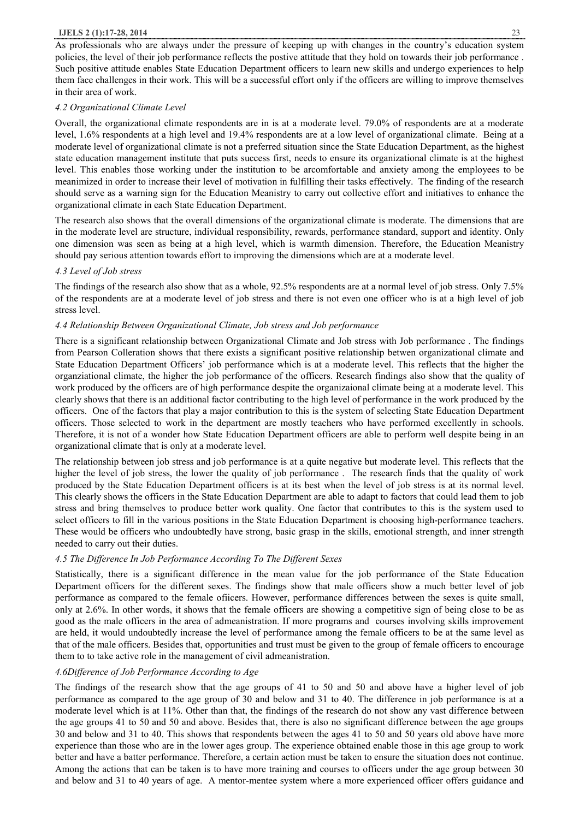As professionals who are always under the pressure of keeping up with changes in the country's education system policies, the level of their job performance reflects the postive attitude that they hold on towards their job performance . Such positive attitude enables State Education Department officers to learn new skills and undergo experiences to help them face challenges in their work. This will be a successful effort only if the officers are willing to improve themselves in their area of work.

#### *4.2 Organizational Climate Level*

Overall, the organizational climate respondents are in is at a moderate level. 79.0% of respondents are at a moderate level, 1.6% respondents at a high level and 19.4% respondents are at a low level of organizational climate. Being at a moderate level of organizational climate is not a preferred situation since the State Education Department, as the highest state education management institute that puts success first, needs to ensure its organizational climate is at the highest level. This enables those working under the institution to be arcomfortable and anxiety among the employees to be meanimized in order to increase their level of motivation in fulfilling their tasks effectively. The finding of the research should serve as a warning sign for the Education Meanistry to carry out collective effort and initiatives to enhance the organizational climate in each State Education Department.

The research also shows that the overall dimensions of the organizational climate is moderate. The dimensions that are in the moderate level are structure, individual responsibility, rewards, performance standard, support and identity. Only one dimension was seen as being at a high level, which is warmth dimension. Therefore, the Education Meanistry should pay serious attention towards effort to improving the dimensions which are at a moderate level.

## *4.3 Level of Job stress*

The findings of the research also show that as a whole, 92.5% respondents are at a normal level of job stress. Only 7.5% of the respondents are at a moderate level of job stress and there is not even one officer who is at a high level of job stress level.

## *4.4 Relationship Between Organizational Climate, Job stress and Job performance*

There is a significant relationship between Organizational Climate and Job stress with Job performance . The findings from Pearson Colleration shows that there exists a significant positive relationship betwen organizational climate and State Education Department Officers' job performance which is at a moderate level. This reflects that the higher the organziational climate, the higher the job performance of the officers. Research findings also show that the quality of work produced by the officers are of high performance despite the organizaional climate being at a moderate level. This clearly shows that there is an additional factor contributing to the high level of performance in the work produced by the officers. One of the factors that play a major contribution to this is the system of selecting State Education Department officers. Those selected to work in the department are mostly teachers who have performed excellently in schools. Therefore, it is not of a wonder how State Education Department officers are able to perform well despite being in an organizational climate that is only at a moderate level.

The relationship between job stress and job performance is at a quite negative but moderate level. This reflects that the higher the level of job stress, the lower the quality of job performance . The research finds that the quality of work produced by the State Education Department officers is at its best when the level of job stress is at its normal level. This clearly shows the officers in the State Education Department are able to adapt to factors that could lead them to job stress and bring themselves to produce better work quality. One factor that contributes to this is the system used to select officers to fill in the various positions in the State Education Department is choosing high-performance teachers. These would be officers who undoubtedly have strong, basic grasp in the skills, emotional strength, and inner strength needed to carry out their duties.

## *4.5 The Difference In Job Performance According To The Different Sexes*

Statistically, there is a significant difference in the mean value for the job performance of the State Education Department officers for the different sexes. The findings show that male officers show a much better level of job performance as compared to the female ofiicers. However, performance differences between the sexes is quite small, only at 2.6%. In other words, it shows that the female officers are showing a competitive sign of being close to be as good as the male officers in the area of admeanistration. If more programs and courses involving skills improvement are held, it would undoubtedly increase the level of performance among the female officers to be at the same level as that of the male officers. Besides that, opportunities and trust must be given to the group of female officers to encourage them to to take active role in the management of civil admeanistration.

## *4.6Difference of Job Performance According to Age*

The findings of the research show that the age groups of 41 to 50 and 50 and above have a higher level of job performance as compared to the age group of 30 and below and 31 to 40. The difference in job performance is at a moderate level which is at 11%. Other than that, the findings of the research do not show any vast difference between the age groups 41 to 50 and 50 and above. Besides that, there is also no significant difference between the age groups 30 and below and 31 to 40. This shows that respondents between the ages 41 to 50 and 50 years old above have more experience than those who are in the lower ages group. The experience obtained enable those in this age group to work better and have a batter performance. Therefore, a certain action must be taken to ensure the situation does not continue. Among the actions that can be taken is to have more training and courses to officers under the age group between 30 and below and 31 to 40 years of age. A mentor-mentee system where a more experienced officer offers guidance and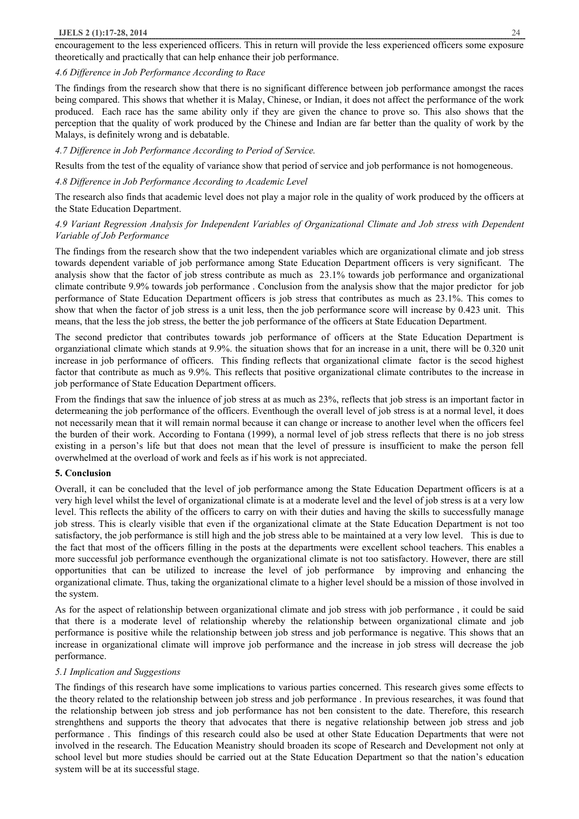encouragement to the less experienced officers. This in return will provide the less experienced officers some exposure theoretically and practically that can help enhance their job performance.

#### *4.6 Difference in Job Performance According to Race*

The findings from the research show that there is no significant difference between job performance amongst the races being compared. This shows that whether it is Malay, Chinese, or Indian, it does not affect the performance of the work produced. Each race has the same ability only if they are given the chance to prove so. This also shows that the perception that the quality of work produced by the Chinese and Indian are far better than the quality of work by the Malays, is definitely wrong and is debatable.

*4.7 Difference in Job Performance According to Period of Service.* 

Results from the test of the equality of variance show that period of service and job performance is not homogeneous.

#### *4.8 Difference in Job Performance According to Academic Level*

The research also finds that academic level does not play a major role in the quality of work produced by the officers at the State Education Department.

## *4.9 Variant Regression Analysis for Independent Variables of Organizational Climate and Job stress with Dependent Variable of Job Performance*

The findings from the research show that the two independent variables which are organizational climate and job stress towards dependent variable of job performance among State Education Department officers is very significant. The analysis show that the factor of job stress contribute as much as 23.1% towards job performance and organizational climate contribute 9.9% towards job performance . Conclusion from the analysis show that the major predictor for job performance of State Education Department officers is job stress that contributes as much as 23.1%. This comes to show that when the factor of job stress is a unit less, then the job performance score will increase by 0.423 unit. This means, that the less the job stress, the better the job performance of the officers at State Education Department.

The second predictor that contributes towards job performance of officers at the State Education Department is organziational climate which stands at 9.9%. the situation shows that for an increase in a unit, there will be 0.320 unit increase in job performance of officers. This finding reflects that organizational climate factor is the secod highest factor that contribute as much as 9.9%. This reflects that positive organizational climate contributes to the increase in job performance of State Education Department officers.

From the findings that saw the inluence of job stress at as much as 23%, reflects that job stress is an important factor in determeaning the job performance of the officers. Eventhough the overall level of job stress is at a normal level, it does not necessarily mean that it will remain normal because it can change or increase to another level when the officers feel the burden of their work. According to Fontana (1999), a normal level of job stress reflects that there is no job stress existing in a person's life but that does not mean that the level of pressure is insufficient to make the person fell overwhelmed at the overload of work and feels as if his work is not appreciated.

#### **5. Conclusion**

Overall, it can be concluded that the level of job performance among the State Education Department officers is at a very high level whilst the level of organizational climate is at a moderate level and the level of job stress is at a very low level. This reflects the ability of the officers to carry on with their duties and having the skills to successfully manage job stress. This is clearly visible that even if the organizational climate at the State Education Department is not too satisfactory, the job performance is still high and the job stress able to be maintained at a very low level. This is due to the fact that most of the officers filling in the posts at the departments were excellent school teachers. This enables a more successful job performance eventhough the organizational climate is not too satisfactory. However, there are still opportunities that can be utilized to increase the level of job performance by improving and enhancing the organizational climate. Thus, taking the organizational climate to a higher level should be a mission of those involved in the system.

As for the aspect of relationship between organizational climate and job stress with job performance , it could be said that there is a moderate level of relationship whereby the relationship between organizational climate and job performance is positive while the relationship between job stress and job performance is negative. This shows that an increase in organizational climate will improve job performance and the increase in job stress will decrease the job performance.

#### *5.1 Implication and Suggestions*

The findings of this research have some implications to various parties concerned. This research gives some effects to the theory related to the relationship between job stress and job performance . In previous researches, it was found that the relationship between job stress and job performance has not ben consistent to the date. Therefore, this research strenghthens and supports the theory that advocates that there is negative relationship between job stress and job performance . This findings of this research could also be used at other State Education Departments that were not involved in the research. The Education Meanistry should broaden its scope of Research and Development not only at school level but more studies should be carried out at the State Education Department so that the nation's education system will be at its successful stage.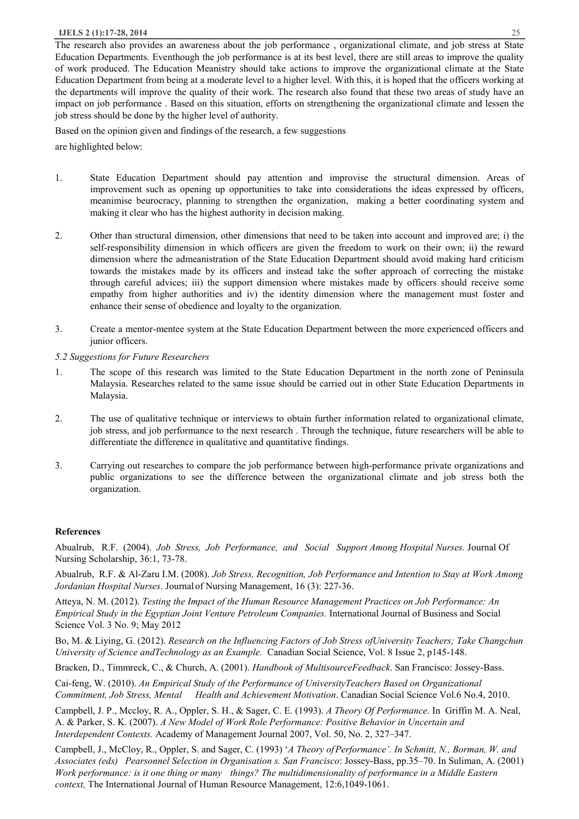The research also provides an awareness about the job performance , organizational climate, and job stress at State Education Departments. Eventhough the job performance is at its best level, there are still areas to improve the quality of work produced. The Education Meanistry should take actions to improve the organizational climate at the State Education Department from being at a moderate level to a higher level. With this, it is hoped that the officers working at the departments will improve the quality of their work. The research also found that these two areas of study have an impact on job performance . Based on this situation, efforts on strengthening the organizational climate and lessen the job stress should be done by the higher level of authority.

Based on the opinion given and findings of the research, a few suggestions are highlighted below:

- 1. State Education Department should pay attention and improvise the structural dimension. Areas of improvement such as opening up opportunities to take into considerations the ideas expressed by officers, meanimise beurocracy, planning to strengthen the organization, making a better coordinating system and making it clear who has the highest authority in decision making.
- 2. Other than structural dimension, other dimensions that need to be taken into account and improved are; i) the self-responsibility dimension in which officers are given the freedom to work on their own; ii) the reward dimension where the admeanistration of the State Education Department should avoid making hard criticism towards the mistakes made by its officers and instead take the softer approach of correcting the mistake through careful advices; iii) the support dimension where mistakes made by officers should receive some empathy from higher authorities and iv) the identity dimension where the management must foster and enhance their sense of obedience and loyalty to the organization.
- 3. Create a mentor-mentee system at the State Education Department between the more experienced officers and junior officers.
- *5.2 Suggestions for Future Researchers*
- 1. The scope of this research was limited to the State Education Department in the north zone of Peninsula Malaysia. Researches related to the same issue should be carried out in other State Education Departments in Malaysia.
- 2. The use of qualitative technique or interviews to obtain further information related to organizational climate, job stress, and job performance to the next research . Through the technique, future researchers will be able to differentiate the difference in qualitative and quantitative findings.
- 3. Carrying out researches to compare the job performance between high-performance private organizations and public organizations to see the difference between the organizational climate and job stress both the organization.

# **References**

Abualrub, R.F. (2004). *Job Stress, Job Performance, and Social Support Among Hospital Nurses.* Journal Of Nursing Scholarship, 36:1, 73-78.

Abualrub, R.F. & Al-Zaru I.M. (2008). *Job Stress, Recognition, Job Performance and Intention to Stay at Work Among Jordanian Hospital Nurses*. Journal of Nursing Management, 16 (3): 227-36.

Atteya, N. M. (2012). *Testing the Impact of the Human Resource Management Practices on Job Performance: An Empirical Study in the Egyptian Joint Venture Petroleum Companies.* International Journal of Business and Social Science Vol. 3 No. 9; May 2012

Bo, M. & Liying, G. (2012). *Research on the Influencing Factors of Job Stress ofUniversity Teachers; Take Changchun University of Science andTechnology as an Example.* Canadian Social Science, Vol. 8 Issue 2, p145-148.

Bracken, D., Timmreck, C., & Church, A. (2001). *Handbook of MultisourceFeedback*. San Francisco: Jossey-Bass.

Cai-feng, W. (2010). *An Empirical Study of the Performance of UniversityTeachers Based on Organizational Commitment, Job Stress, Mental Health and Achievement Motivation*. Canadian Social Science Vol.6 No.4, 2010.

Campbell, J. P., Mccloy, R. A., Oppler, S. H., & Sager, C. E. (1993). *A Theory Of Performance*. In Griffin M. A. Neal, A. & Parker, S. K. (2007). *A New Model of Work Role Performance: Positive Behavior in Uncertain and Interdependent Contexts.* Academy of Management Journal 2007, Vol. 50, No. 2, 327–347.

Campbell, J., McCloy, R., Oppler, S. and Sager, C. (1993) '*A Theory ofPerformance'. In Schmitt, N., Borman, W. and Associates (eds) Pearsonnel Selection in Organisation s. San Francisco*: Jossey-Bass, pp.35–70. In Suliman, A. (2001) *Work performance: is it one thing or many things? The multidimensionality of performance in a Middle Eastern context,* The International Journal of Human Resource Management, 12:6,1049-1061.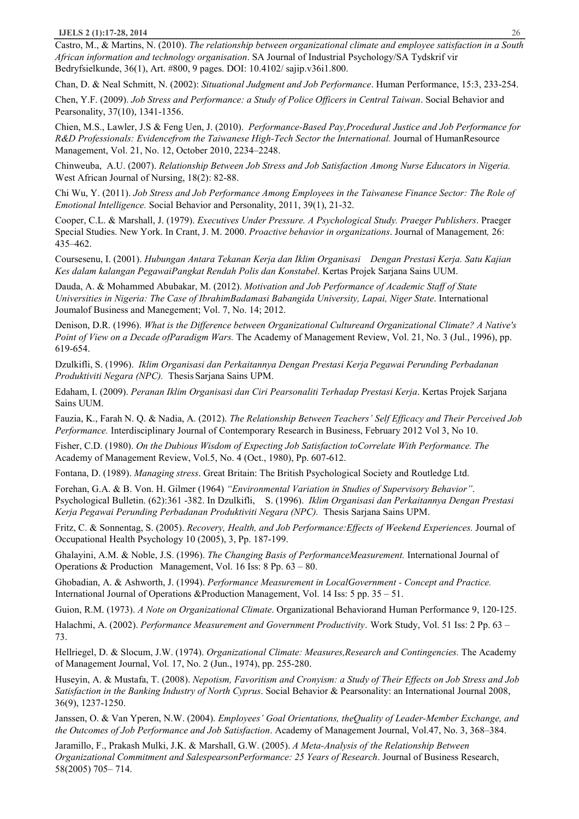Castro, M., & Martins, N. (2010). *The relationship between organizational climate and employee satisfaction in a South African information and technology organisation*. SA Journal of Industrial Psychology/SA Tydskrif vir Bedryfsielkunde, 36(1), Art. #800, 9 pages. DOI: 10.4102/ sajip.v36i1.800.

Chan, D. & Neal Schmitt, N. (2002): *Situational Judgment and Job Performance*. Human Performance, 15:3, 233-254.

Chen, Y.F. (2009). *Job Stress and Performance: a Study of Police Officers in Central Taiwan*. Social Behavior and Pearsonality, 37(10), 1341-1356.

Chien, M.S., Lawler, J.S & Feng Uen, J. (2010). *Performance-Based Pay,Procedural Justice and Job Performance for R&D Professionals: Evidencefrom the Taiwanese High-Tech Sector the International.* Journal of HumanResource Management, Vol. 21, No. 12, October 2010, 2234–2248.

Chinweuba, A.U. (2007). *Relationship Between Job Stress and Job Satisfaction Among Nurse Educators in Nigeria.* West African Journal of Nursing, 18(2): 82-88.

Chi Wu, Y. (2011). *Job Stress and Job Performance Among Employees in the Taiwanese Finance Sector: The Role of Emotional Intelligence.* Social Behavior and Personality, 2011, 39(1), 21-32.

Cooper, C.L. & Marshall, J. (1979). *Executives Under Pressure. A Psychological Study. Praeger Publishers*. Praeger Special Studies. New York. In Crant, J. M. 2000. *Proactive behavior in organizations*. Journal of Management*,* 26: 435–462.

Coursesenu, I. (2001). *Hubungan Antara Tekanan Kerja dan Iklim Organisasi Dengan Prestasi Kerja. Satu Kajian Kes dalam kalangan PegawaiPangkat Rendah Polis dan Konstabel*. Kertas Projek Sarjana Sains UUM.

Dauda, A. & Mohammed Abubakar, M. (2012). *Motivation and Job Performance of Academic Staff of State Universities in Nigeria: The Case of IbrahimBadamasi Babangida University, Lapai, Niger State*. International Joumalof Business and Manegement; Vol. 7, No. 14; 2012.

Denison, D.R. (1996). *What is the Difference between Organizational Cultureand Organizational Climate? A Native's Point of View on a Decade ofParadigm Wars.* The Academy of Management Review, Vol. 21, No. 3 (Jul., 1996), pp. 619-654.

Dzulkifli, S. (1996). *Iklim Organisasi dan Perkaitannya Dengan Prestasi Kerja Pegawai Perunding Perbadanan Produktiviti Negara (NPC).* Thesis Sarjana Sains UPM.

Edaham, I. (2009). *Peranan Iklim Organisasi dan Ciri Pearsonaliti Terhadap Prestasi Kerja*. Kertas Projek Sarjana Sains UUM.

Fauzia, K., Farah N. Q. & Nadia, A. (2012). *The Relationship Between Teachers' Self Efficacy and Their Perceived Job Performance.* Interdisciplinary Journal of Contemporary Research in Business, February 2012 Vol 3, No 10.

Fisher, C.D. (1980). *On the Dubious Wisdom of Expecting Job Satisfaction toCorrelate With Performance. The*  Academy of Management Review, Vol.5, No. 4 (Oct., 1980), Pp. 607-612.

Fontana, D. (1989). *Managing stress*. Great Britain: The British Psychological Society and Routledge Ltd.

Forehan, G.A. & B. Von. H. Gilmer (1964) *"Environmental Variation in Studies of Supervisory Behavior"*. Psychological Bulletin. (62):361 -382. In Dzulkifli, S. (1996). *Iklim Organisasi dan Perkaitannya Dengan Prestasi Kerja Pegawai Perunding Perbadanan Produktiviti Negara (NPC).* Thesis Sarjana Sains UPM.

Fritz, C. & Sonnentag, S. (2005). *Recovery, Health, and Job Performance:Effects of Weekend Experiences.* Journal of Occupational Health Psychology 10 (2005), 3, Pp. 187-199.

Ghalayini, A.M. & Noble, J.S. (1996). *The Changing Basis of PerformanceMeasurement.* International Journal of Operations & Production Management, Vol. 16 Iss: 8 Pp. 63 – 80.

Ghobadian, A. & Ashworth, J. (1994). *Performance Measurement in LocalGovernment - Concept and Practice.* International Journal of Operations &Production Management, Vol. 14 Iss: 5 pp. 35 – 51.

Guion, R.M. (1973). *A Note on Organizational Climate*. Organizational Behaviorand Human Performance 9, 120-125.

Halachmi, A. (2002). *Performance Measurement and Government Productivity*. Work Study, Vol. 51 Iss: 2 Pp. 63 – 73.

Hellriegel, D. & Slocum, J.W. (1974). *Organizational Climate: Measures,Research and Contingencies.* The Academy of Management Journal, Vol. 17, No. 2 (Jun., 1974), pp. 255-280.

Huseyin, A. & Mustafa, T. (2008). *Nepotism, Favoritism and Cronyism: a Study of Their Effects on Job Stress and Job Satisfaction in the Banking Industry of North Cyprus*. Social Behavior & Pearsonality: an International Journal 2008, 36(9), 1237-1250.

Janssen, O. & Van Yperen, N.W. (2004). *Employees' Goal Orientations, theQuality of Leader-Member Exchange, and the Outcomes of Job Performance and Job Satisfaction*. Academy of Management Journal, Vol.47, No. 3, 368–384.

Jaramillo, F., Prakash Mulki, J.K. & Marshall, G.W. (2005). *A Meta-Analysis of the Relationship Between Organizational Commitment and SalespearsonPerformance: 25 Years of Research*. Journal of Business Research, 58(2005) 705– 714.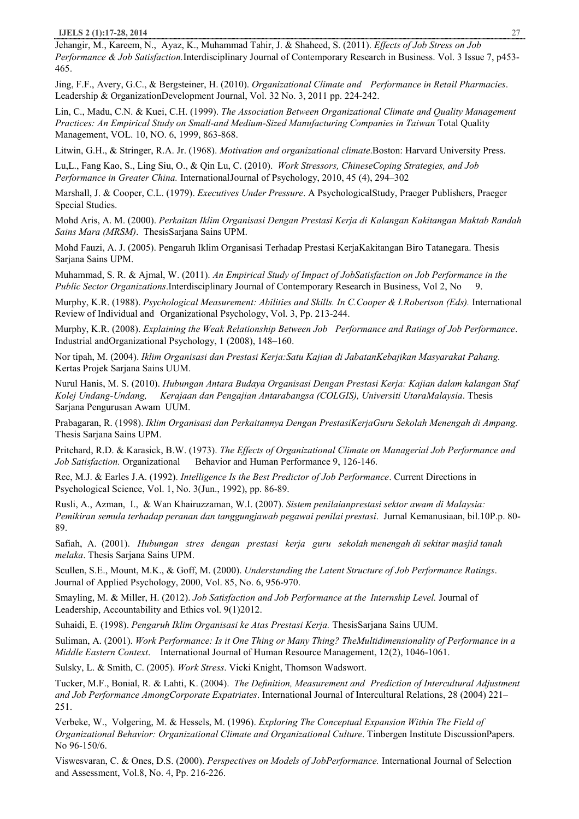Jehangir, M., Kareem, N., Ayaz, K., Muhammad Tahir, J. & Shaheed, S. (2011). *Effects of Job Stress on Job Performance & Job Satisfaction.*Interdisciplinary Journal of Contemporary Research in Business. Vol. 3 Issue 7, p453- 465.

Jing, F.F., Avery, G.C., & Bergsteiner, H. (2010). *Organizational Climate and Performance in Retail Pharmacies*. Leadership & OrganizationDevelopment Journal, Vol. 32 No. 3, 2011 pp. 224-242.

Lin, C., Madu, C.N. & Kuei, C.H. (1999). *The Association Between Organizational Climate and Quality Management Practices: An Empirical Study on Small-and Medium-Sized Manufacturing Companies in Taiwan* Total Quality Management, VOL. 10, NO. 6, 1999, 863-868.

Litwin, G.H., & Stringer, R.A. Jr. (1968). *Motivation and organizational climate*.Boston: Harvard University Press.

Lu,L., Fang Kao, S., Ling Siu, O., & Qin Lu, C. (2010). *Work Stressors, ChineseCoping Strategies, and Job Performance in Greater China.* InternationalJournal of Psychology, 2010, 45 (4), 294–302

Marshall, J. & Cooper, C.L. (1979). *Executives Under Pressure*. A PsychologicalStudy, Praeger Publishers, Praeger Special Studies.

Mohd Aris, A. M. (2000). *Perkaitan Iklim Organisasi Dengan Prestasi Kerja di Kalangan Kakitangan Maktab Randah Sains Mara (MRSM)*. ThesisSarjana Sains UPM.

Mohd Fauzi, A. J. (2005). Pengaruh Iklim Organisasi Terhadap Prestasi KerjaKakitangan Biro Tatanegara. Thesis Sarjana Sains UPM.

Muhammad, S. R. & Ajmal, W. (2011). *An Empirical Study of Impact of JobSatisfaction on Job Performance in the Public Sector Organizations*.Interdisciplinary Journal of Contemporary Research in Business, Vol 2, No 9.

Murphy, K.R. (1988). *Psychological Measurement: Abilities and Skills. In C.Cooper & I.Robertson (Eds).* International Review of Individual and Organizational Psychology, Vol. 3, Pp. 213-244.

Murphy, K.R. (2008). *Explaining the Weak Relationship Between Job Performance and Ratings of Job Performance*. Industrial andOrganizational Psychology, 1 (2008), 148–160.

Nor tipah, M. (2004). *Iklim Organisasi dan Prestasi Kerja:Satu Kajian di JabatanKebajikan Masyarakat Pahang.*  Kertas Projek Sarjana Sains UUM.

Nurul Hanis, M. S. (2010). *Hubungan Antara Budaya Organisasi Dengan Prestasi Kerja: Kajian dalam kalangan Staf Kolej Undang-Undang, Kerajaan dan Pengajian Antarabangsa (COLGIS), Universiti UtaraMalaysia*. Thesis Sarjana Pengurusan Awam UUM.

Prabagaran, R. (1998). *Iklim Organisasi dan Perkaitannya Dengan PrestasiKerjaGuru Sekolah Menengah di Ampang.* Thesis Sarjana Sains UPM.

Pritchard, R.D. & Karasick, B.W. (1973). *The Effects of Organizational Climate on Managerial Job Performance and Job Satisfaction.* Organizational Behavior and Human Performance 9, 126-146.

Ree, M.J. & Earles J.A. (1992). *Intelligence Is the Best Predictor of Job Performance*. Current Directions in Psychological Science, Vol. 1, No. 3(Jun., 1992), pp. 86-89.

Rusli, A., Azman, I., & Wan Khairuzzaman, W.I. (2007). *Sistem penilaianprestasi sektor awam di Malaysia: Pemikiran semula terhadap peranan dan tanggungjawab pegawai penilai prestasi*. Jurnal Kemanusiaan, bil.10P.p. 80- 89.

Safiah, A. (2001). *Hubungan stres dengan prestasi kerja guru sekolah menengah di sekitar masjid tanah melaka*. Thesis Sarjana Sains UPM.

Scullen, S.E., Mount, M.K., & Goff, M. (2000). *Understanding the Latent Structure of Job Performance Ratings*. Journal of Applied Psychology, 2000, Vol. 85, No. 6, 956-970.

Smayling, M. & Miller, H. (2012). *Job Satisfaction and Job Performance at the Internship Level.* Journal of Leadership, Accountability and Ethics vol. 9(1)2012.

Suhaidi, E. (1998). *Pengaruh Iklim Organisasi ke Atas Prestasi Kerja.* ThesisSarjana Sains UUM.

Suliman, A. (2001). *Work Performance: Is it One Thing or Many Thing? TheMultidimensionality of Performance in a Middle Eastern Context*. International Journal of Human Resource Management, 12(2), 1046-1061.

Sulsky, L. & Smith, C. (2005). *Work Stress*. Vicki Knight, Thomson Wadswort.

Tucker, M.F., Bonial, R. & Lahti, K. (2004). *The Definition, Measurement and Prediction of Intercultural Adjustment and Job Performance AmongCorporate Expatriates*. International Journal of Intercultural Relations, 28 (2004) 221– 251.

Verbeke, W., Volgering, M. & Hessels, M. (1996). *Exploring The Conceptual Expansion Within The Field of Organizational Behavior: Organizational Climate and Organizational Culture*. Tinbergen Institute DiscussionPapers. No 96-150/6.

Viswesvaran, C. & Ones, D.S. (2000). *Perspectives on Models of JobPerformance.* International Journal of Selection and Assessment, Vol.8, No. 4, Pp. 216-226.